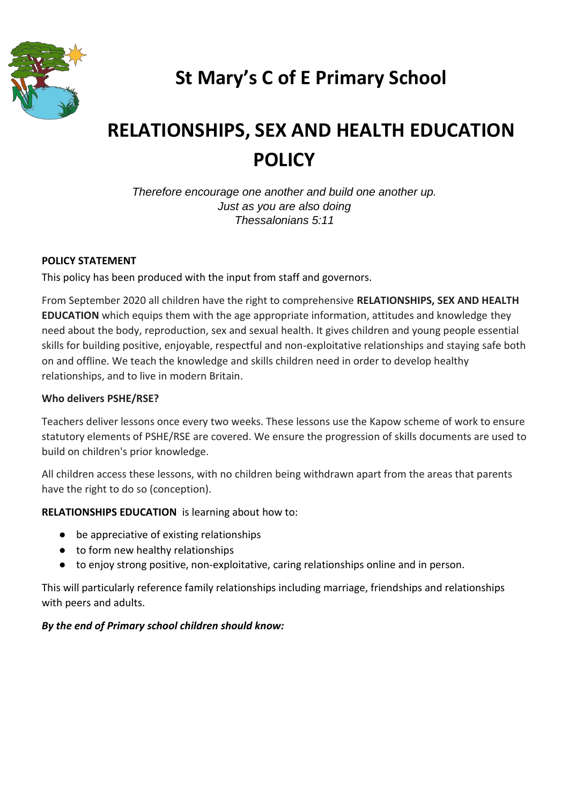

## **St Mary's C of E Primary School**

# **RELATIONSHIPS, SEX AND HEALTH EDUCATION POLICY**

*Therefore encourage one another and build one another up. Just as you are also doing Thessalonians 5:11*

## **POLICY STATEMENT**

This policy has been produced with the input from staff and governors.

From September 2020 all children have the right to comprehensive **RELATIONSHIPS, SEX AND HEALTH EDUCATION** which equips them with the age appropriate information, attitudes and knowledge they need about the body, reproduction, sex and sexual health. It gives children and young people essential skills for building positive, enjoyable, respectful and non-exploitative relationships and staying safe both on and offline. We teach the knowledge and skills children need in order to develop healthy relationships, and to live in modern Britain.

#### **Who delivers PSHE/RSE?**

Teachers deliver lessons once every two weeks. These lessons use the Kapow scheme of work to ensure statutory elements of PSHE/RSE are covered. We ensure the progression of skills documents are used to build on children's prior knowledge.

All children access these lessons, with no children being withdrawn apart from the areas that parents have the right to do so (conception).

**RELATIONSHIPS EDUCATION** is learning about how to:

- be appreciative of existing relationships
- to form new healthy relationships
- to enjoy strong positive, non-exploitative, caring relationships online and in person.

This will particularly reference family relationships including marriage, friendships and relationships with peers and adults.

#### *By the end of Primary school children should know:*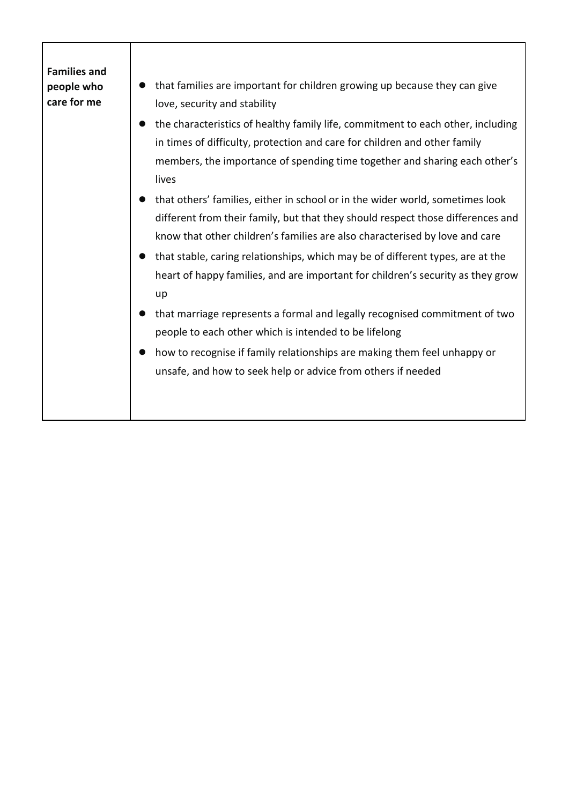| <b>Families and</b><br>people who<br>care for me | that families are important for children growing up because they can give<br>love, security and stability                                                                                                                                                                                                                                                                                                                                                                                                |
|--------------------------------------------------|----------------------------------------------------------------------------------------------------------------------------------------------------------------------------------------------------------------------------------------------------------------------------------------------------------------------------------------------------------------------------------------------------------------------------------------------------------------------------------------------------------|
|                                                  | the characteristics of healthy family life, commitment to each other, including<br>in times of difficulty, protection and care for children and other family<br>members, the importance of spending time together and sharing each other's<br>lives                                                                                                                                                                                                                                                      |
|                                                  | that others' families, either in school or in the wider world, sometimes look<br>different from their family, but that they should respect those differences and<br>know that other children's families are also characterised by love and care<br>that stable, caring relationships, which may be of different types, are at the<br>heart of happy families, and are important for children's security as they grow<br>up<br>that marriage represents a formal and legally recognised commitment of two |
|                                                  | people to each other which is intended to be lifelong<br>how to recognise if family relationships are making them feel unhappy or<br>unsafe, and how to seek help or advice from others if needed                                                                                                                                                                                                                                                                                                        |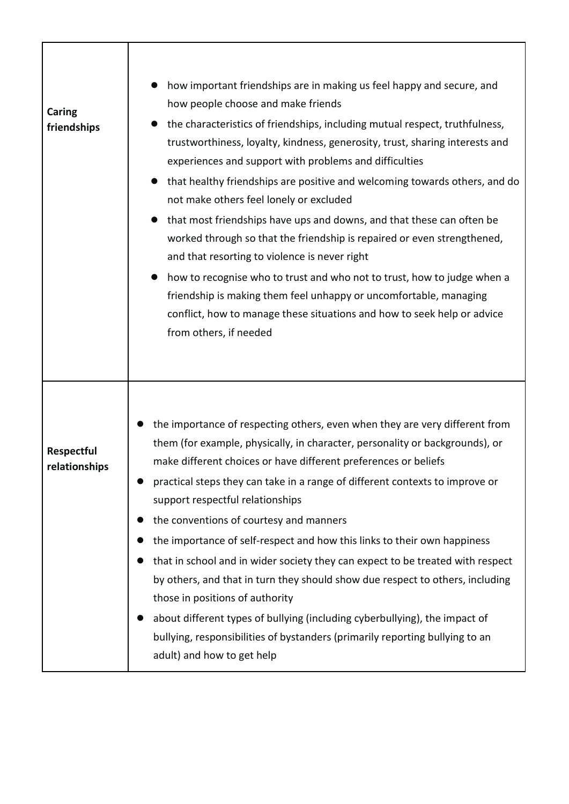| Caring<br>friendships       | how important friendships are in making us feel happy and secure, and<br>how people choose and make friends<br>the characteristics of friendships, including mutual respect, truthfulness,<br>trustworthiness, loyalty, kindness, generosity, trust, sharing interests and<br>experiences and support with problems and difficulties<br>that healthy friendships are positive and welcoming towards others, and do<br>not make others feel lonely or excluded<br>that most friendships have ups and downs, and that these can often be<br>worked through so that the friendship is repaired or even strengthened,<br>and that resorting to violence is never right<br>how to recognise who to trust and who not to trust, how to judge when a<br>friendship is making them feel unhappy or uncomfortable, managing<br>conflict, how to manage these situations and how to seek help or advice<br>from others, if needed |
|-----------------------------|-------------------------------------------------------------------------------------------------------------------------------------------------------------------------------------------------------------------------------------------------------------------------------------------------------------------------------------------------------------------------------------------------------------------------------------------------------------------------------------------------------------------------------------------------------------------------------------------------------------------------------------------------------------------------------------------------------------------------------------------------------------------------------------------------------------------------------------------------------------------------------------------------------------------------|
| Respectful<br>relationships | the importance of respecting others, even when they are very different from<br>them (for example, physically, in character, personality or backgrounds), or<br>make different choices or have different preferences or beliefs<br>practical steps they can take in a range of different contexts to improve or<br>support respectful relationships<br>the conventions of courtesy and manners<br>the importance of self-respect and how this links to their own happiness<br>that in school and in wider society they can expect to be treated with respect<br>by others, and that in turn they should show due respect to others, including<br>those in positions of authority<br>about different types of bullying (including cyberbullying), the impact of<br>bullying, responsibilities of bystanders (primarily reporting bullying to an<br>adult) and how to get help                                             |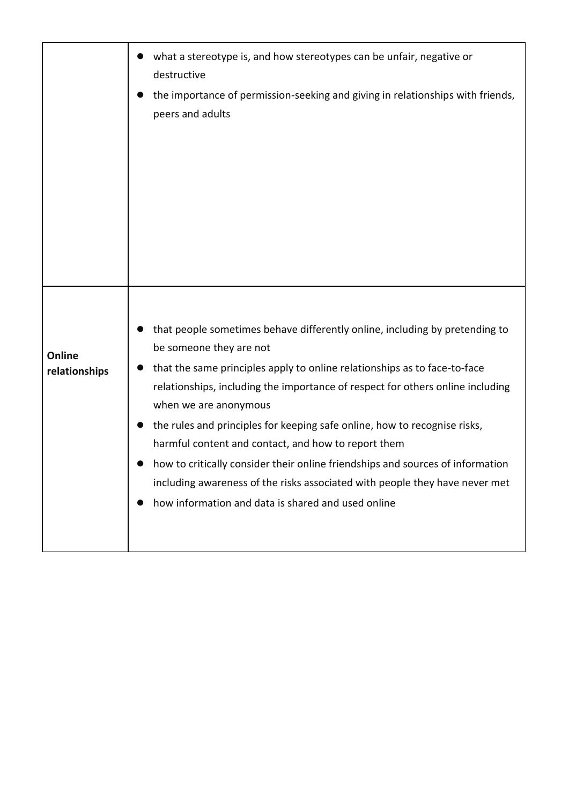|               | what a stereotype is, and how stereotypes can be unfair, negative or<br>destructive                                                   |
|---------------|---------------------------------------------------------------------------------------------------------------------------------------|
|               | the importance of permission-seeking and giving in relationships with friends,<br>peers and adults                                    |
|               |                                                                                                                                       |
|               |                                                                                                                                       |
|               |                                                                                                                                       |
|               |                                                                                                                                       |
| Online        | that people sometimes behave differently online, including by pretending to<br>be someone they are not                                |
| relationships | that the same principles apply to online relationships as to face-to-face                                                             |
|               | relationships, including the importance of respect for others online including<br>when we are anonymous                               |
|               | the rules and principles for keeping safe online, how to recognise risks,                                                             |
|               | harmful content and contact, and how to report them<br>how to critically consider their online friendships and sources of information |
|               | including awareness of the risks associated with people they have never met                                                           |
|               | how information and data is shared and used online                                                                                    |
|               |                                                                                                                                       |
|               |                                                                                                                                       |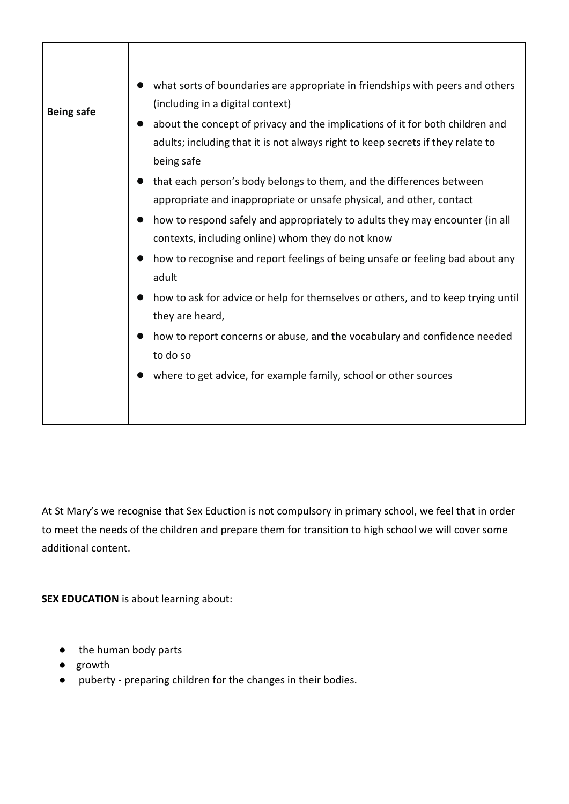| <b>Being safe</b> | what sorts of boundaries are appropriate in friendships with peers and others<br>(including in a digital context)                                                              |
|-------------------|--------------------------------------------------------------------------------------------------------------------------------------------------------------------------------|
|                   | about the concept of privacy and the implications of it for both children and<br>adults; including that it is not always right to keep secrets if they relate to<br>being safe |
|                   | that each person's body belongs to them, and the differences between<br>appropriate and inappropriate or unsafe physical, and other, contact                                   |
|                   | how to respond safely and appropriately to adults they may encounter (in all<br>contexts, including online) whom they do not know                                              |
|                   | how to recognise and report feelings of being unsafe or feeling bad about any<br>adult                                                                                         |
|                   | how to ask for advice or help for themselves or others, and to keep trying until<br>they are heard,                                                                            |
|                   | how to report concerns or abuse, and the vocabulary and confidence needed<br>to do so                                                                                          |
|                   | where to get advice, for example family, school or other sources                                                                                                               |
|                   |                                                                                                                                                                                |

At St Mary's we recognise that Sex Eduction is not compulsory in primary school, we feel that in order to meet the needs of the children and prepare them for transition to high school we will cover some additional content.

**SEX EDUCATION** is about learning about:

- the human body parts
- growth
- puberty preparing children for the changes in their bodies.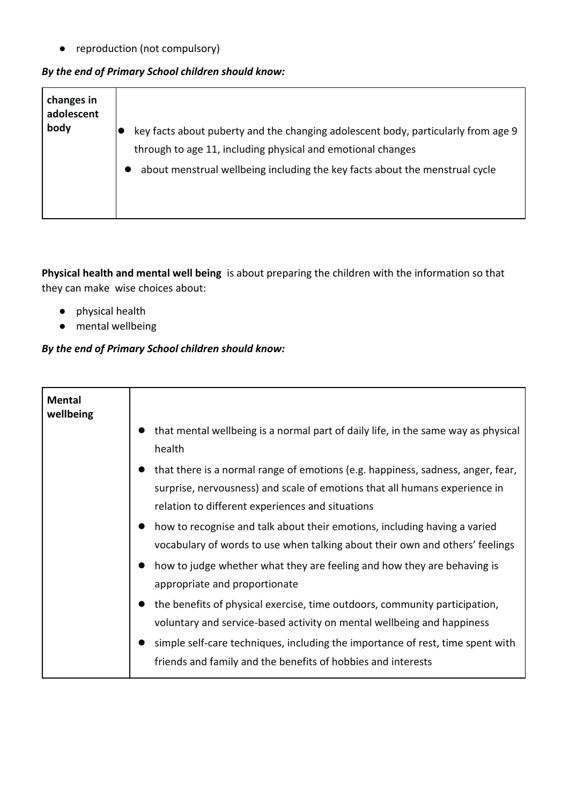● reproduction (not compulsory)

## *By the end of Primary School children should know:*

| changes in<br>adolescent<br>body | key facts about puberty and the changing adolescent body, particularly from age 9 |
|----------------------------------|-----------------------------------------------------------------------------------|
|                                  | through to age 11, including physical and emotional changes                       |
|                                  | about menstrual wellbeing including the key facts about the menstrual cycle       |

**Physical health and mental well being** is about preparing the children with the information so that they can make wise choices about:

- physical health
- mental wellbeing

## *By the end of Primary School children should know:*

| <b>Mental</b><br>wellbeing |                                                                                                                                                                                                                                                                                                        |
|----------------------------|--------------------------------------------------------------------------------------------------------------------------------------------------------------------------------------------------------------------------------------------------------------------------------------------------------|
|                            | that mental wellbeing is a normal part of daily life, in the same way as physical<br>health                                                                                                                                                                                                            |
|                            | that there is a normal range of emotions (e.g. happiness, sadness, anger, fear,<br>surprise, nervousness) and scale of emotions that all humans experience in<br>relation to different experiences and situations                                                                                      |
|                            | how to recognise and talk about their emotions, including having a varied<br>vocabulary of words to use when talking about their own and others' feelings<br>how to judge whether what they are feeling and how they are behaving is<br>appropriate and proportionate                                  |
|                            | the benefits of physical exercise, time outdoors, community participation,<br>voluntary and service-based activity on mental wellbeing and happiness<br>simple self-care techniques, including the importance of rest, time spent with<br>friends and family and the benefits of hobbies and interests |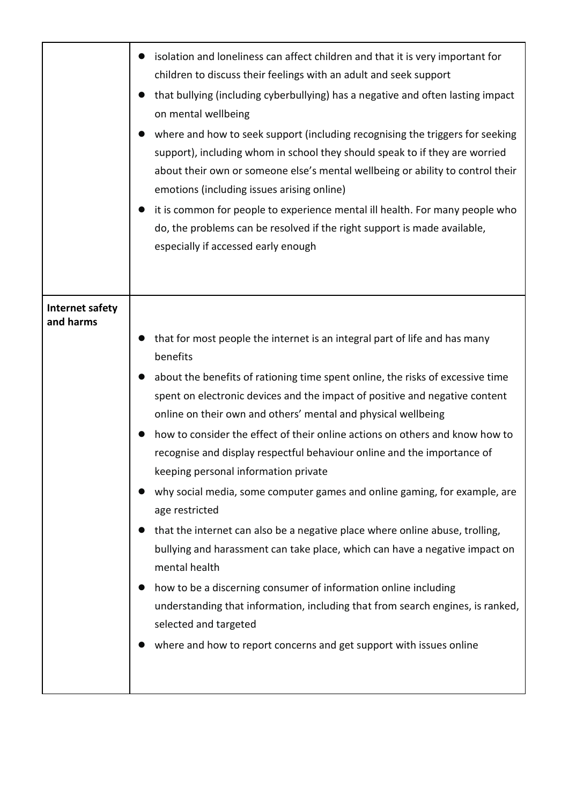|                                     | isolation and loneliness can affect children and that it is very important for<br>children to discuss their feelings with an adult and seek support<br>that bullying (including cyberbullying) has a negative and often lasting impact<br>on mental wellbeing<br>where and how to seek support (including recognising the triggers for seeking<br>support), including whom in school they should speak to if they are worried<br>about their own or someone else's mental wellbeing or ability to control their<br>emotions (including issues arising online)<br>it is common for people to experience mental ill health. For many people who<br>do, the problems can be resolved if the right support is made available,<br>especially if accessed early enough                                                                                                                                                                                                                                                                                                |
|-------------------------------------|-----------------------------------------------------------------------------------------------------------------------------------------------------------------------------------------------------------------------------------------------------------------------------------------------------------------------------------------------------------------------------------------------------------------------------------------------------------------------------------------------------------------------------------------------------------------------------------------------------------------------------------------------------------------------------------------------------------------------------------------------------------------------------------------------------------------------------------------------------------------------------------------------------------------------------------------------------------------------------------------------------------------------------------------------------------------|
| <b>Internet safety</b><br>and harms | that for most people the internet is an integral part of life and has many<br>benefits<br>about the benefits of rationing time spent online, the risks of excessive time<br>spent on electronic devices and the impact of positive and negative content<br>online on their own and others' mental and physical wellbeing<br>how to consider the effect of their online actions on others and know how to<br>recognise and display respectful behaviour online and the importance of<br>keeping personal information private<br>why social media, some computer games and online gaming, for example, are<br>age restricted<br>that the internet can also be a negative place where online abuse, trolling,<br>bullying and harassment can take place, which can have a negative impact on<br>mental health<br>how to be a discerning consumer of information online including<br>understanding that information, including that from search engines, is ranked,<br>selected and targeted<br>where and how to report concerns and get support with issues online |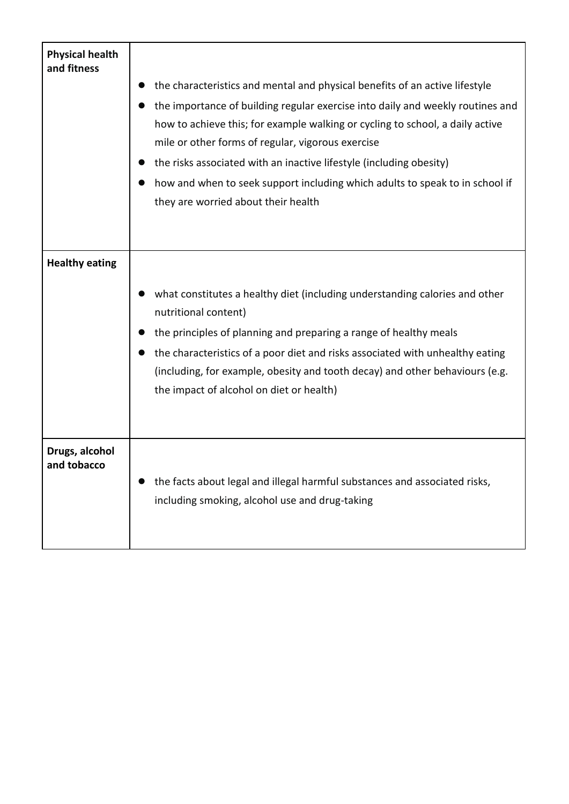| <b>Physical health</b><br>and fitness |                                                                                                                                                                                                                      |
|---------------------------------------|----------------------------------------------------------------------------------------------------------------------------------------------------------------------------------------------------------------------|
|                                       | the characteristics and mental and physical benefits of an active lifestyle                                                                                                                                          |
|                                       | the importance of building regular exercise into daily and weekly routines and<br>how to achieve this; for example walking or cycling to school, a daily active<br>mile or other forms of regular, vigorous exercise |
|                                       | the risks associated with an inactive lifestyle (including obesity)                                                                                                                                                  |
|                                       | how and when to seek support including which adults to speak to in school if<br>they are worried about their health                                                                                                  |
|                                       |                                                                                                                                                                                                                      |
| <b>Healthy eating</b>                 |                                                                                                                                                                                                                      |
|                                       | what constitutes a healthy diet (including understanding calories and other<br>nutritional content)                                                                                                                  |
|                                       | the principles of planning and preparing a range of healthy meals                                                                                                                                                    |
|                                       | the characteristics of a poor diet and risks associated with unhealthy eating<br>(including, for example, obesity and tooth decay) and other behaviours (e.g.<br>the impact of alcohol on diet or health)            |
| Drugs, alcohol<br>and tobacco         | the facts about legal and illegal harmful substances and associated risks,<br>including smoking, alcohol use and drug-taking                                                                                         |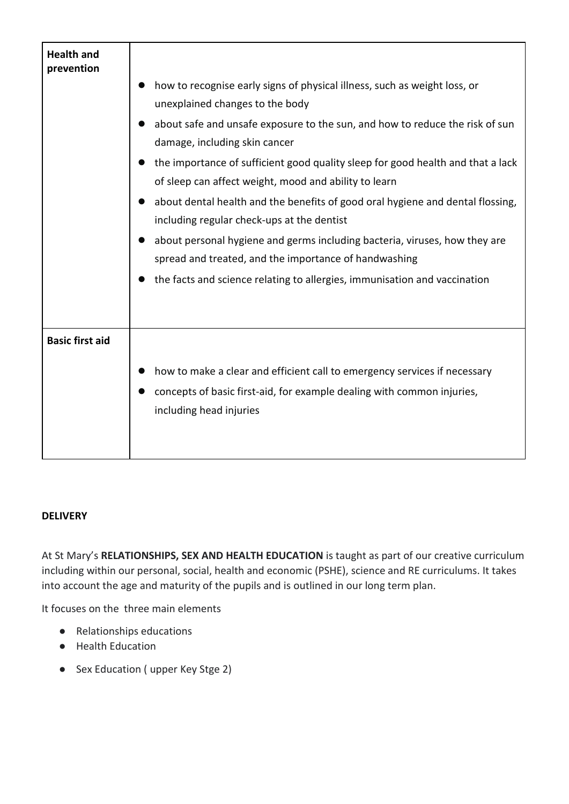| <b>Health and</b><br>prevention |                                                                                                                                           |
|---------------------------------|-------------------------------------------------------------------------------------------------------------------------------------------|
|                                 | how to recognise early signs of physical illness, such as weight loss, or                                                                 |
|                                 | unexplained changes to the body                                                                                                           |
|                                 | about safe and unsafe exposure to the sun, and how to reduce the risk of sun                                                              |
|                                 | damage, including skin cancer                                                                                                             |
|                                 | the importance of sufficient good quality sleep for good health and that a lack<br>of sleep can affect weight, mood and ability to learn  |
|                                 | about dental health and the benefits of good oral hygiene and dental flossing,<br>$\bullet$<br>including regular check-ups at the dentist |
|                                 | about personal hygiene and germs including bacteria, viruses, how they are<br>spread and treated, and the importance of handwashing       |
|                                 | the facts and science relating to allergies, immunisation and vaccination                                                                 |
| <b>Basic first aid</b>          |                                                                                                                                           |
|                                 | how to make a clear and efficient call to emergency services if necessary                                                                 |
|                                 | concepts of basic first-aid, for example dealing with common injuries,<br>including head injuries                                         |

## **DELIVERY**

At St Mary's **RELATIONSHIPS, SEX AND HEALTH EDUCATION** is taught as part of our creative curriculum including within our personal, social, health and economic (PSHE), science and RE curriculums. It takes into account the age and maturity of the pupils and is outlined in our long term plan.

It focuses on the three main elements

- Relationships educations
- Health Education
- Sex Education ( upper Key Stge 2)